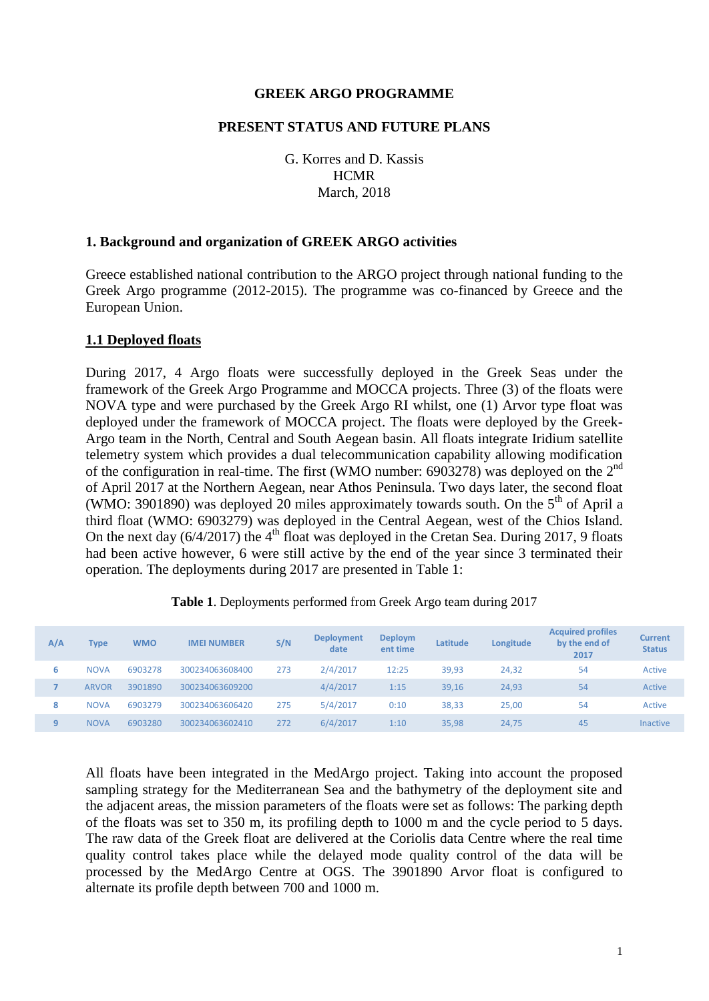#### **GREEK ARGO PROGRAMME**

#### **PRESENT STATUS AND FUTURE PLANS**

G. Korres and D. Kassis **HCMR** March, 2018

#### **1. Background and organization of GREEK ARGO activities**

Greece established national contribution to the ARGO project through national funding to the Greek Argo programme (2012-2015). The programme was co-financed by Greece and the European Union.

#### **1.1 Deployed floats**

During 2017, 4 Argo floats were successfully deployed in the Greek Seas under the framework of the Greek Argo Programme and MOCCA projects. Three (3) of the floats were NOVA type and were purchased by the Greek Argo RI whilst, one (1) Arvor type float was deployed under the framework of MOCCA project. The floats were deployed by the Greek-Argo team in the North, Central and South Aegean basin. All floats integrate Iridium satellite telemetry system which provides a dual telecommunication capability allowing modification of the configuration in real-time. The first (WMO number: 6903278) was deployed on the  $2^{nd}$ of April 2017 at the Northern Aegean, near Athos Peninsula. Two days later, the second float (WMO: 3901890) was deployed 20 miles approximately towards south. On the  $5<sup>th</sup>$  of April a third float (WMO: 6903279) was deployed in the Central Aegean, west of the Chios Island. On the next day  $(6/4/2017)$  the  $4<sup>th</sup>$  float was deployed in the Cretan Sea. During 2017, 9 floats had been active however, 6 were still active by the end of the year since 3 terminated their operation. The deployments during 2017 are presented in Table 1:

| A/A | Type         | <b>WMO</b> | <b>IMEI NUMBER</b> | S/N | <b>Deployment</b><br>date | <b>Deploym</b><br>ent time | Latitude | Longitude | <b>Acquired profiles</b><br>by the end of<br>2017 | Current<br><b>Status</b> |
|-----|--------------|------------|--------------------|-----|---------------------------|----------------------------|----------|-----------|---------------------------------------------------|--------------------------|
| 6   | <b>NOVA</b>  | 6903278    | 300234063608400    | 273 | 2/4/2017                  | 12:25                      | 39,93    | 24,32     | 54                                                | Active                   |
|     | <b>ARVOR</b> | 3901890    | 300234063609200    |     | 4/4/2017                  | 1:15                       | 39,16    | 24,93     | 54                                                | Active                   |
| 8   | <b>NOVA</b>  | 6903279    | 300234063606420    | 275 | 5/4/2017                  | 0:10                       | 38,33    | 25,00     | 54                                                | Active                   |
| 9   | <b>NOVA</b>  | 6903280    | 300234063602410    | 272 | 6/4/2017                  | 1:10                       | 35,98    | 24,75     | 45                                                | <b>Inactive</b>          |

| Table 1. Deployments performed from Greek Argo team during 2017 |  |  |  |
|-----------------------------------------------------------------|--|--|--|
|-----------------------------------------------------------------|--|--|--|

All floats have been integrated in the MedArgo project. Taking into account the proposed sampling strategy for the Mediterranean Sea and the bathymetry of the deployment site and the adjacent areas, the mission parameters of the floats were set as follows: The parking depth of the floats was set to 350 m, its profiling depth to 1000 m and the cycle period to 5 days. The raw data of the Greek float are delivered at the Coriolis data Centre where the real time quality control takes place while the delayed mode quality control of the data will be processed by the MedArgo Centre at OGS. The 3901890 Arvor float is configured to alternate its profile depth between 700 and 1000 m.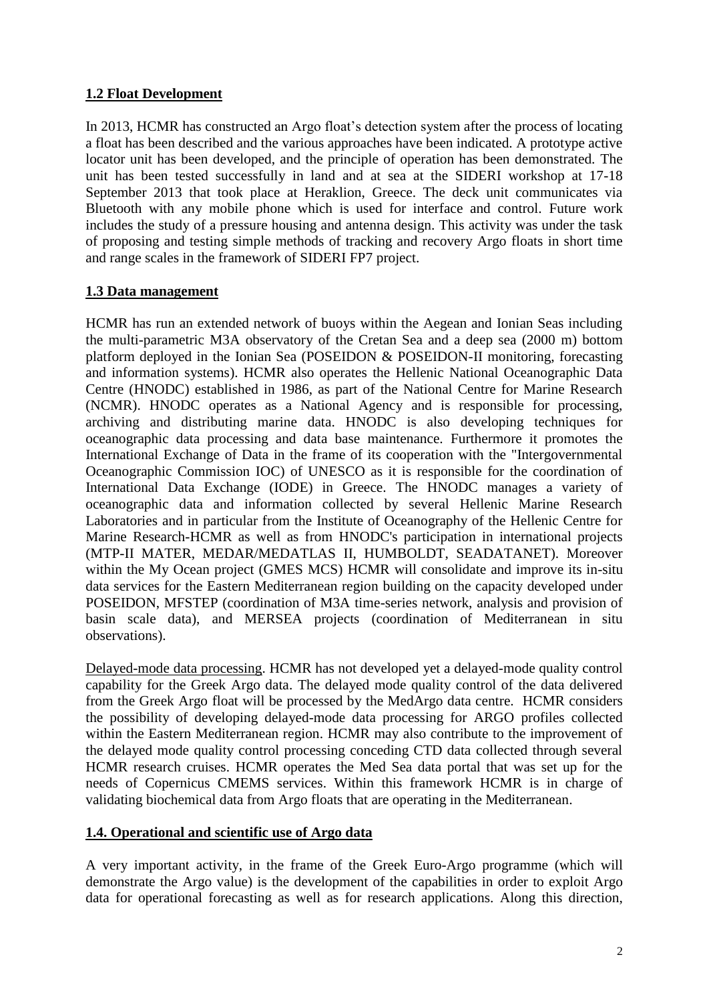# **1.2 Float Development**

In 2013, HCMR has constructed an Argo float's detection system after the process of locating a float has been described and the various approaches have been indicated. A prototype active locator unit has been developed, and the principle of operation has been demonstrated. The unit has been tested successfully in land and at sea at the SIDERI workshop at 17-18 September 2013 that took place at Heraklion, Greece. The deck unit communicates via Bluetooth with any mobile phone which is used for interface and control. Future work includes the study of a pressure housing and antenna design. This activity was under the task of proposing and testing simple methods of tracking and recovery Argo floats in short time and range scales in the framework of SIDERI FP7 project.

# **1.3 Data management**

HCMR has run an extended network of buoys within the Aegean and Ionian Seas including the multi-parametric M3A observatory of the Cretan Sea and a deep sea (2000 m) bottom platform deployed in the Ionian Sea (POSEIDON & POSEIDON-II monitoring, forecasting and information systems). HCMR also operates the Hellenic National Oceanographic Data Centre (HNODC) established in 1986, as part of the National Centre for Marine Research (NCMR). HNODC operates as a National Agency and is responsible for processing, archiving and distributing marine data. HNODC is also developing techniques for oceanographic data processing and data base maintenance. Furthermore it promotes the International Exchange of Data in the frame of its cooperation with the "Intergovernmental Oceanographic Commission IOC) of UNESCO as it is responsible for the coordination of International Data Exchange (IODE) in Greece. The HNODC manages a variety of oceanographic data and information collected by several Hellenic Marine Research Laboratories and in particular from the Institute of Oceanography of the Hellenic Centre for Marine Research-HCMR as well as from HNODC's participation in international projects (MTP-II MATER, MEDAR/MEDATLAS II, HUMBOLDT, SEADATANET). Moreover within the My Ocean project (GMES MCS) HCMR will consolidate and improve its in-situ data services for the Eastern Mediterranean region building on the capacity developed under POSEIDON, MFSTEP (coordination of M3A time-series network, analysis and provision of basin scale data), and MERSEA projects (coordination of Mediterranean in situ observations).

Delayed-mode data processing. HCMR has not developed yet a delayed-mode quality control capability for the Greek Argo data. The delayed mode quality control of the data delivered from the Greek Argo float will be processed by the MedArgo data centre. HCMR considers the possibility of developing delayed-mode data processing for ARGO profiles collected within the Eastern Mediterranean region. HCMR may also contribute to the improvement of the delayed mode quality control processing conceding CTD data collected through several HCMR research cruises. HCMR operates the Med Sea data portal that was set up for the needs of Copernicus CMEMS services. Within this framework HCMR is in charge of validating biochemical data from Argo floats that are operating in the Mediterranean.

## **1.4. Operational and scientific use of Argo data**

A very important activity, in the frame of the Greek Euro-Argo programme (which will demonstrate the Argo value) is the development of the capabilities in order to exploit Argo data for operational forecasting as well as for research applications. Along this direction,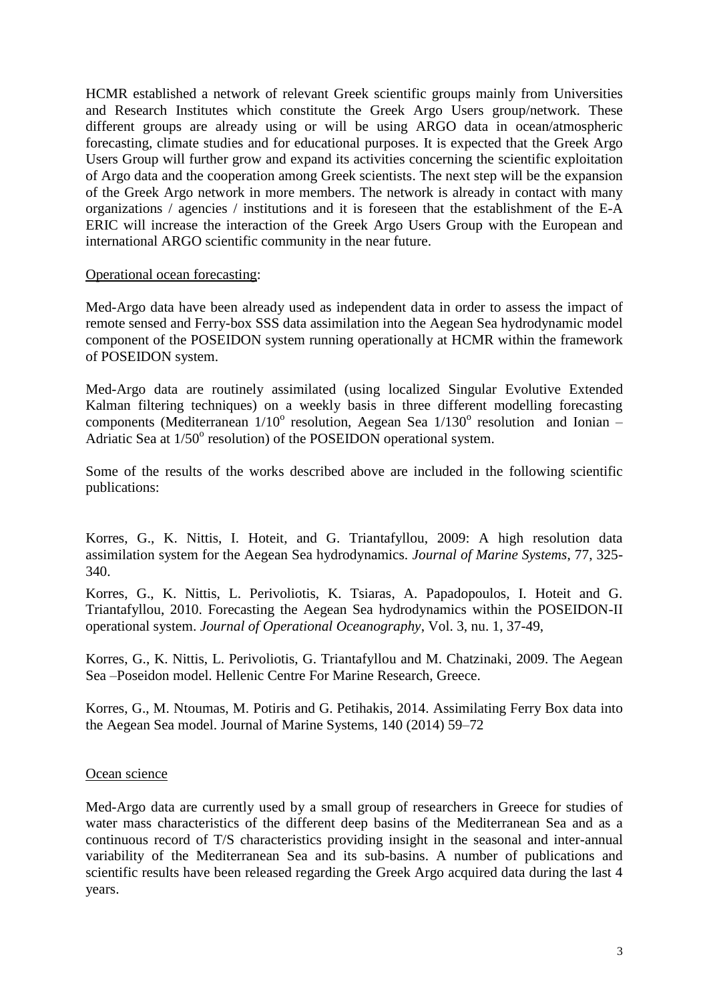HCMR established a network of relevant Greek scientific groups mainly from Universities and Research Institutes which constitute the Greek Argo Users group/network. These different groups are already using or will be using ARGO data in ocean/atmospheric forecasting, climate studies and for educational purposes. It is expected that the Greek Argo Users Group will further grow and expand its activities concerning the scientific exploitation of Argo data and the cooperation among Greek scientists. The next step will be the expansion of the Greek Argo network in more members. The network is already in contact with many organizations / agencies / institutions and it is foreseen that the establishment of the E-A ERIC will increase the interaction of the Greek Argo Users Group with the European and international ARGO scientific community in the near future.

## Operational ocean forecasting:

Med-Argo data have been already used as independent data in order to assess the impact of remote sensed and Ferry-box SSS data assimilation into the Aegean Sea hydrodynamic model component of the POSEIDON system running operationally at HCMR within the framework of POSEIDON system.

Med-Argo data are routinely assimilated (using localized Singular Evolutive Extended Kalman filtering techniques) on a weekly basis in three different modelling forecasting components (Mediterranean 1/10° resolution, Aegean Sea 1/130° resolution and Ionian -Adriatic Sea at  $1/50^{\circ}$  resolution) of the POSEIDON operational system.

Some of the results of the works described above are included in the following scientific publications:

Korres, G., K. Nittis, I. Hoteit, and G. Triantafyllou, 2009: A high resolution data assimilation system for the Aegean Sea hydrodynamics. *Journal of Marine Systems*, 77, 325- 340.

Korres, G., K. Nittis, L. Perivoliotis, K. Tsiaras, A. Papadopoulos, I. Hoteit and G. Triantafyllou, 2010. Forecasting the Aegean Sea hydrodynamics within the POSEIDON-II operational system. *Journal of Operational Oceanography*, Vol. 3, nu. 1, 37-49,

Korres, G., K. Nittis, L. Perivoliotis, G. Triantafyllou and M. Chatzinaki, 2009. The Aegean Sea –Poseidon model. Hellenic Centre For Marine Research, Greece.

Korres, G., M. Ntoumas, M. Potiris and G. Petihakis, 2014. Assimilating Ferry Box data into the Aegean Sea model. Journal of Marine Systems, 140 (2014) 59–72

## Ocean science

Med-Argo data are currently used by a small group of researchers in Greece for studies of water mass characteristics of the different deep basins of the Mediterranean Sea and as a continuous record of T/S characteristics providing insight in the seasonal and inter-annual variability of the Mediterranean Sea and its sub-basins. A number of publications and scientific results have been released regarding the Greek Argo acquired data during the last 4 years.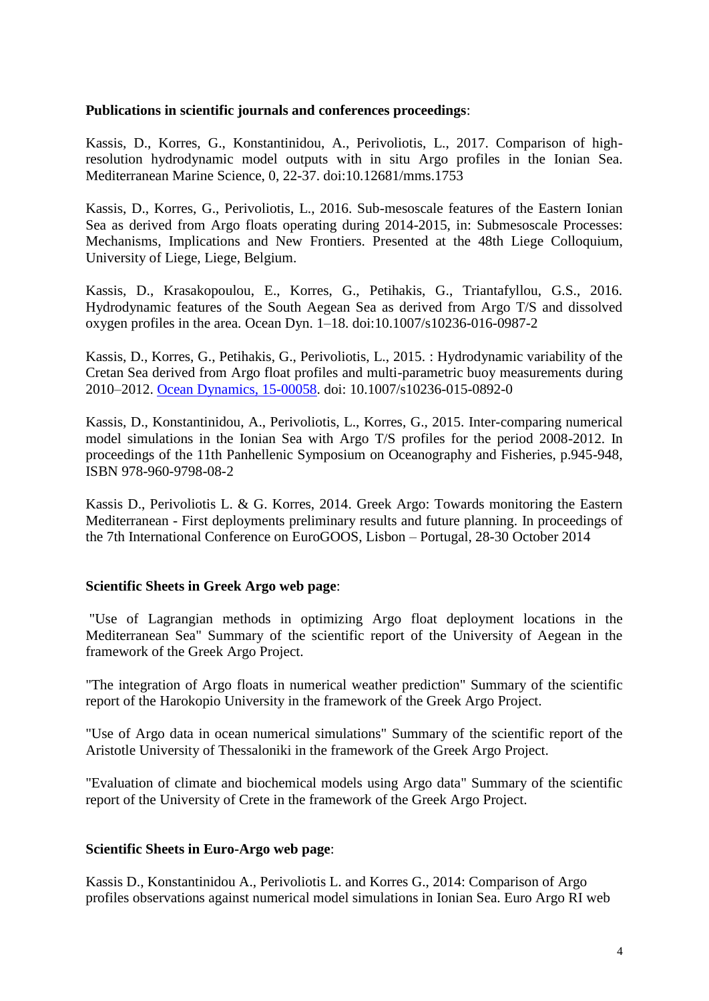## **Publications in scientific journals and conferences proceedings**:

Kassis, D., Korres, G., Konstantinidou, A., Perivoliotis, L., 2017. Comparison of highresolution hydrodynamic model outputs with in situ Argo profiles in the Ionian Sea. Mediterranean Marine Science, 0, 22-37. doi:10.12681/mms.1753

Kassis, D., Korres, G., Perivoliotis, L., 2016. Sub-mesoscale features of the Eastern Ionian Sea as derived from Argo floats operating during 2014-2015, in: Submesoscale Processes: Mechanisms, Implications and New Frontiers. Presented at the 48th Liege Colloquium, University of Liege, Liege, Belgium.

Kassis, D., Krasakopoulou, E., Korres, G., Petihakis, G., Triantafyllou, G.S., 2016. Hydrodynamic features of the South Aegean Sea as derived from Argo T/S and dissolved oxygen profiles in the area. Ocean Dyn. 1–18. doi:10.1007/s10236-016-0987-2

Kassis, D., Korres, G., Petihakis, G., Perivoliotis, L., 2015. : Hydrodynamic variability of the Cretan Sea derived from Argo float profiles and multi-parametric buoy measurements during 2010–2012. [Ocean Dynamics, 15-00058.](http://link.springer.com/article/10.1007%2Fs10236-015-0892-0) doi: 10.1007/s10236-015-0892-0

Kassis, D., Konstantinidou, A., Perivoliotis, L., Korres, G., 2015. Inter-comparing numerical model simulations in the Ionian Sea with Argo T/S profiles for the period 2008-2012. In proceedings of the 11th Panhellenic Symposium on Oceanography and Fisheries, p.945-948, ISBN 978-960-9798-08-2

Kassis D., Perivoliotis L. & G. Korres, 2014. Greek Argo: Towards monitoring the Eastern Mediterranean - First deployments preliminary results and future planning. In proceedings of the 7th International Conference on EuroGOOS, Lisbon – Portugal, 28-30 October 2014

## **Scientific Sheets in Greek Argo web page**:

"Use of Lagrangian methods in optimizing Argo float deployment locations in the Mediterranean Sea" Summary of the scientific report of the University of Aegean in the framework of the Greek Argo Project.

"The integration of Argo floats in numerical weather prediction" Summary of the scientific report of the Harokopio University in the framework of the Greek Argo Project.

"Use of Argo data in ocean numerical simulations" Summary of the scientific report of the Aristotle University of Thessaloniki in the framework of the Greek Argo Project.

"Evaluation of climate and biochemical models using Argo data" Summary of the scientific report of the University of Crete in the framework of the Greek Argo Project.

#### **Scientific Sheets in Euro-Argo web page**:

Kassis D., Konstantinidou A., Perivoliotis L. and Korres G., 2014: Comparison of Argo profiles observations against numerical model simulations in Ionian Sea. Euro Argo RI web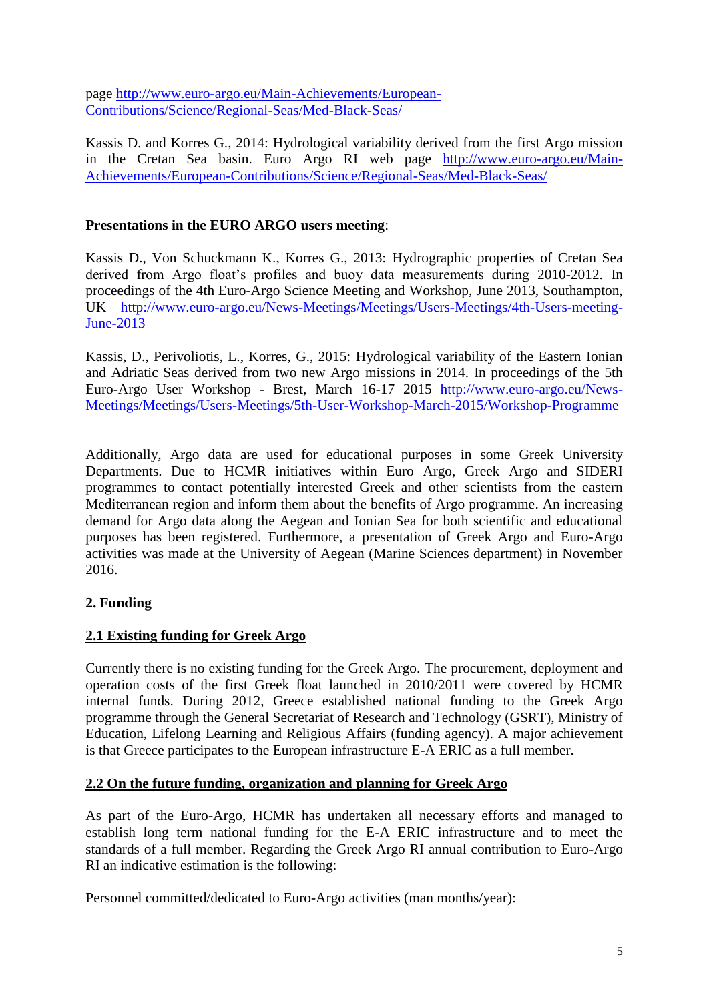page [http://www.euro-argo.eu/Main-Achievements/European-](http://www.euro-argo.eu/Main-Achievements/European-Contributions/Science/Regional-Seas/Med-Black-Seas/)[Contributions/Science/Regional-Seas/Med-Black-Seas/](http://www.euro-argo.eu/Main-Achievements/European-Contributions/Science/Regional-Seas/Med-Black-Seas/)

Kassis D. and Korres G., 2014: Hydrological variability derived from the first Argo mission in the Cretan Sea basin. Euro Argo RI web page [http://www.euro-argo.eu/Main-](http://www.euro-argo.eu/Main-Achievements/European-Contributions/Science/Regional-Seas/Med-Black-Seas/)[Achievements/European-Contributions/Science/Regional-Seas/Med-Black-Seas/](http://www.euro-argo.eu/Main-Achievements/European-Contributions/Science/Regional-Seas/Med-Black-Seas/)

# **Presentations in the EURO ARGO users meeting**:

Kassis D., Von Schuckmann K., Korres G., 2013: Hydrographic properties of Cretan Sea derived from Argo float's profiles and buoy data measurements during 2010-2012. In proceedings of the 4th Euro-Argo Science Meeting and Workshop, June 2013, Southampton, UK [http://www.euro-argo.eu/News-Meetings/Meetings/Users-Meetings/4th-Users-meeting-](http://www.euro-argo.eu/News-Meetings/Meetings/Users-Meetings/4th-Users-meeting-June-2013)[June-2013](http://www.euro-argo.eu/News-Meetings/Meetings/Users-Meetings/4th-Users-meeting-June-2013)

Kassis, D., Perivoliotis, L., Korres, G., 2015: Hydrological variability of the Eastern Ionian and Adriatic Seas derived from two new Argo missions in 2014. In proceedings of the 5th Euro-Argo User Workshop - Brest, March 16-17 2015 [http://www.euro-argo.eu/News-](http://www.euro-argo.eu/News-Meetings/Meetings/Users-Meetings/5th-User-Workshop-March-2015/Workshop-Programme)[Meetings/Meetings/Users-Meetings/5th-User-Workshop-March-2015/Workshop-Programme](http://www.euro-argo.eu/News-Meetings/Meetings/Users-Meetings/5th-User-Workshop-March-2015/Workshop-Programme)

Additionally, Argo data are used for educational purposes in some Greek University Departments. Due to HCMR initiatives within Euro Argo, Greek Argo and SIDERI programmes to contact potentially interested Greek and other scientists from the eastern Mediterranean region and inform them about the benefits of Argo programme. An increasing demand for Argo data along the Aegean and Ionian Sea for both scientific and educational purposes has been registered. Furthermore, a presentation of Greek Argo and Euro-Argo activities was made at the University of Aegean (Marine Sciences department) in November 2016.

# **2. Funding**

# **2.1 Existing funding for Greek Argo**

Currently there is no existing funding for the Greek Argo. The procurement, deployment and operation costs of the first Greek float launched in 2010/2011 were covered by HCMR internal funds. During 2012, Greece established national funding to the Greek Argo programme through the General Secretariat of Research and Technology (GSRT), Ministry of Education, Lifelong Learning and Religious Affairs (funding agency). A major achievement is that Greece participates to the European infrastructure E-A ERIC as a full member.

## **2.2 On the future funding, organization and planning for Greek Argo**

As part of the Euro-Argo, HCMR has undertaken all necessary efforts and managed to establish long term national funding for the E-A ERIC infrastructure and to meet the standards of a full member. Regarding the Greek Argo RI annual contribution to Euro-Argo RI an indicative estimation is the following:

Personnel committed/dedicated to Euro-Argo activities (man months/year):